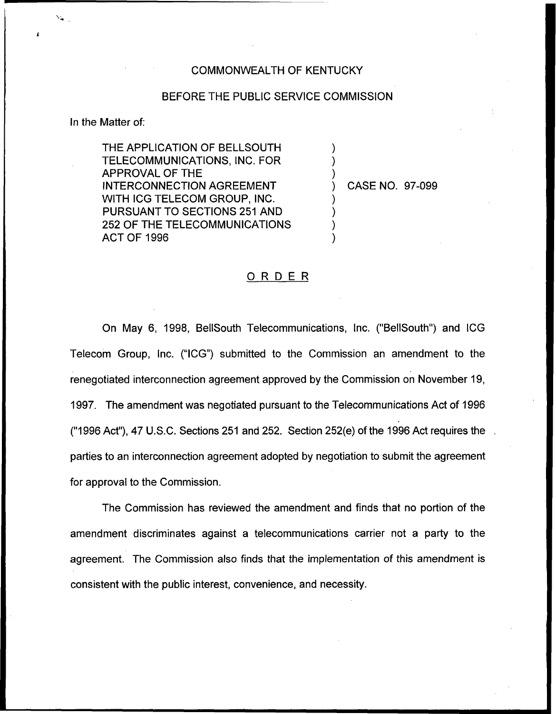### COMMONWEALTH OF KENTUCKY

## BEFORE THE PUBLIC SERVICE COMMISSION

#### In the Matter of:

THE APPLICATION OF BELLSOUTH TELECOMMUNICATIONS, INC. FOR APPROVAL OF THE INTERCONNECTION AGREEMENT WITH ICG TELECOM GROUP, INC. PURSUANT TO SECTIONS 251 AND 252 OF THE TELECOMMUNICATIONS ACT OF 1996

) CASE NO. 97-099

) ) )

) ) ) )

#### ORDER

On May 6, 1998, BellSouth Telecommunications, Inc, ("BellSouth") and ICG Telecorn Group, Inc. ("ICG") submitted to the Commission an amendment to the renegotiated interconnection agreement approved by the Commission on November 19, 1997. The amendment was negotiated pursuant to the Telecommunications Act of 1996 ("1996Act"), 47 U.S.C. Sections 251 and 252. Section 252(e) of the 1996Act requires the parties to an interconnection agreement adopted by negotiation to submit the agreement for approval to the Commission.

The Commission has reviewed the amendment and finds that no portion of the amendment discriminates against a telecommunications carrier not a party to the agreement. The Commission also finds that the implementation of this amendment is consistent with the public interest, convenience, and necessity.